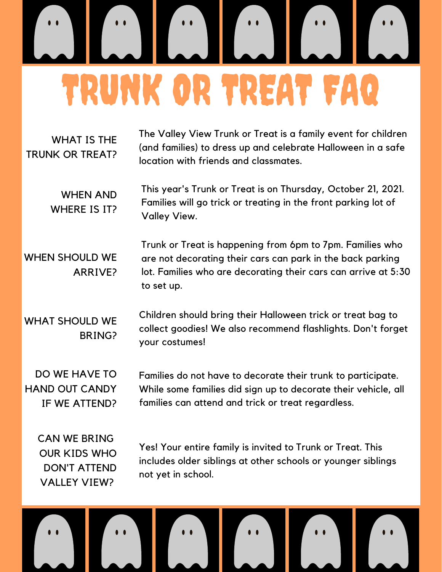## TRUNK OR TREAT FAQ

WHAT IS THE TRUNK OR TREAT? The Valley View Trunk or Treat is a family event for children (and families) to dress up and celebrate Halloween in a safe location with friends and classmates.

WHEN AND WHERE IS IT? This year's Trunk or Treat is on Thursday, October 21, 2021. Families will go trick or treating in the front parking lot of Valley View.

WHEN SHOULD WE ARRIVE? Trunk or Treat is happening from 6pm to 7pm. Families who are not decorating their cars can park in the back parking lot. Families who are decorating their cars can arrive at 5:30 to set up.

WHAT SHOULD WE BRING? Children should bring their Halloween trick or treat bag to collect goodies! We also recommend flashlights. Don't forget your costumes!

DO WE HAVE TO HAND OUT CANDY IF WE ATTEND? Families do not have to decorate their trunk to participate. While some families did sign up to decorate their vehicle, all families can attend and trick or treat regardless.

CAN WE BRING OUR KIDS WHO DON'T ATTEND VALLEY VIEW?

Yes! Your entire family is invited to Trunk or Treat. This includes older siblings at other schools or younger siblings not yet in school.